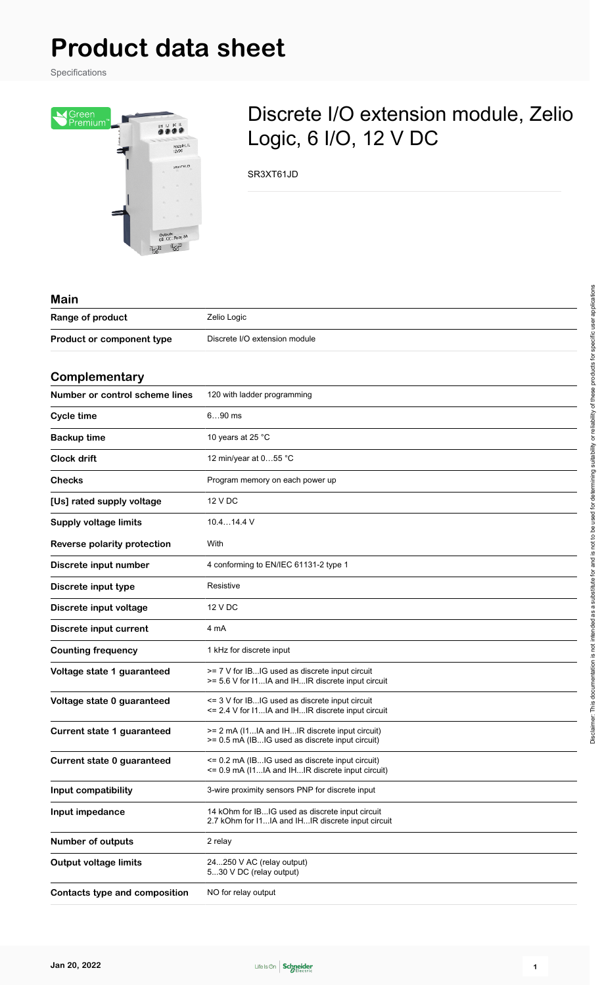Specifications



## Discrete I/O extension module, Zelio Logic, 6 I/O, 12 V DC

SR3XT61JD

| <b>Main</b>                          |                                                                                                      |
|--------------------------------------|------------------------------------------------------------------------------------------------------|
| Range of product                     | Zelio Logic                                                                                          |
| Product or component type            | Discrete I/O extension module                                                                        |
|                                      |                                                                                                      |
| Complementary                        |                                                                                                      |
| Number or control scheme lines       | 120 with ladder programming                                                                          |
| <b>Cycle time</b>                    | $690$ ms                                                                                             |
| <b>Backup time</b>                   | 10 years at 25 °C                                                                                    |
| <b>Clock drift</b>                   | 12 min/year at 055 °C                                                                                |
| <b>Checks</b>                        | Program memory on each power up                                                                      |
| [Us] rated supply voltage            | 12 V DC                                                                                              |
| <b>Supply voltage limits</b>         | $10.414.4$ V                                                                                         |
| Reverse polarity protection          | With                                                                                                 |
| Discrete input number                | 4 conforming to EN/IEC 61131-2 type 1                                                                |
| Discrete input type                  | Resistive                                                                                            |
| Discrete input voltage               | 12 V DC                                                                                              |
| Discrete input current               | 4 mA                                                                                                 |
| <b>Counting frequency</b>            | 1 kHz for discrete input                                                                             |
| Voltage state 1 guaranteed           | >= 7 V for IBIG used as discrete input circuit<br>>= 5.6 V for I1IA and IHIR discrete input circuit  |
| Voltage state 0 guaranteed           | <= 3 V for IBIG used as discrete input circuit<br><= 2.4 V for I1IA and IHIR discrete input circuit  |
| <b>Current state 1 guaranteed</b>    | >= 2 mA (11IA and IHIR discrete input circuit)<br>>= 0.5 mA (IBIG used as discrete input circuit)    |
| Current state 0 guaranteed           | <= 0.2 mA (IBIG used as discrete input circuit)<br><= 0.9 mA (I1IA and IHIR discrete input circuit)  |
| Input compatibility                  | 3-wire proximity sensors PNP for discrete input                                                      |
| Input impedance                      | 14 kOhm for IBIG used as discrete input circuit<br>2.7 kOhm for I1IA and IHIR discrete input circuit |
| <b>Number of outputs</b>             | 2 relay                                                                                              |
| <b>Output voltage limits</b>         | 24250 V AC (relay output)<br>530 V DC (relay output)                                                 |
| <b>Contacts type and composition</b> | NO for relay output                                                                                  |

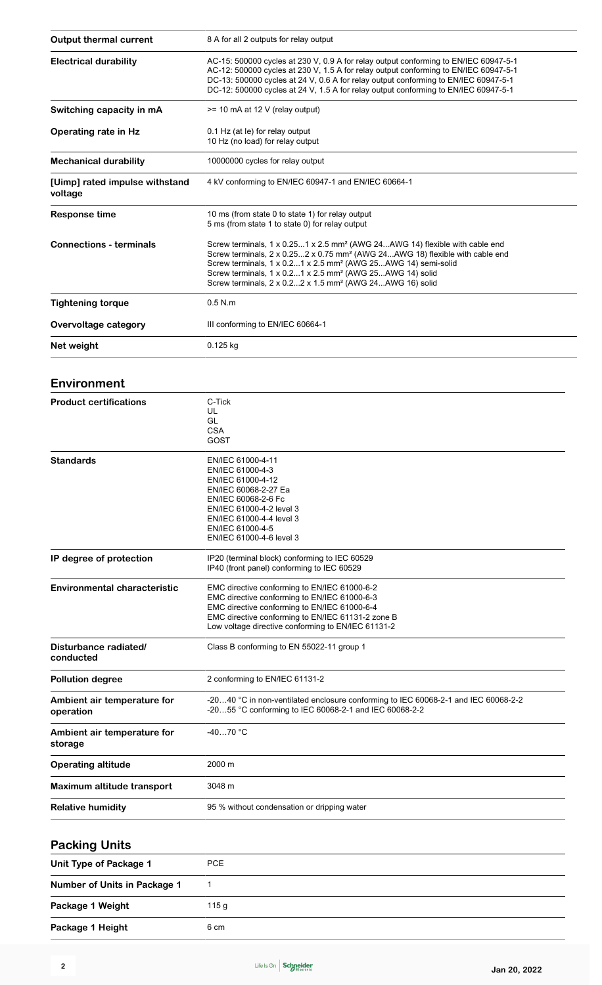| <b>Output thermal current</b>             | 8 A for all 2 outputs for relay output                                                                                                                                                                                                                                                                                                                                                                           |  |
|-------------------------------------------|------------------------------------------------------------------------------------------------------------------------------------------------------------------------------------------------------------------------------------------------------------------------------------------------------------------------------------------------------------------------------------------------------------------|--|
| <b>Electrical durability</b>              | AC-15: 500000 cycles at 230 V, 0.9 A for relay output conforming to EN/IEC 60947-5-1<br>AC-12: 500000 cycles at 230 V, 1.5 A for relay output conforming to EN/IEC 60947-5-1<br>DC-13: 500000 cycles at 24 V, 0.6 A for relay output conforming to EN/IEC 60947-5-1<br>DC-12: 500000 cycles at 24 V, 1.5 A for relay output conforming to EN/IEC 60947-5-1                                                       |  |
| Switching capacity in mA                  | >= 10 mA at 12 V (relay output)                                                                                                                                                                                                                                                                                                                                                                                  |  |
| <b>Operating rate in Hz</b>               | 0.1 Hz (at le) for relay output<br>10 Hz (no load) for relay output                                                                                                                                                                                                                                                                                                                                              |  |
| <b>Mechanical durability</b>              | 10000000 cycles for relay output                                                                                                                                                                                                                                                                                                                                                                                 |  |
| [Uimp] rated impulse withstand<br>voltage | 4 kV conforming to EN/IEC 60947-1 and EN/IEC 60664-1                                                                                                                                                                                                                                                                                                                                                             |  |
| <b>Response time</b>                      | 10 ms (from state 0 to state 1) for relay output<br>5 ms (from state 1 to state 0) for relay output                                                                                                                                                                                                                                                                                                              |  |
| <b>Connections - terminals</b>            | Screw terminals, 1 x 0.251 x 2.5 mm <sup>2</sup> (AWG 24AWG 14) flexible with cable end<br>Screw terminals, 2 x 0.252 x 0.75 mm <sup>2</sup> (AWG 24AWG 18) flexible with cable end<br>Screw terminals, 1 x 0.21 x 2.5 mm <sup>2</sup> (AWG 25AWG 14) semi-solid<br>Screw terminals, 1 x 0.21 x 2.5 mm <sup>2</sup> (AWG 25AWG 14) solid<br>Screw terminals, 2 x 0.22 x 1.5 mm <sup>2</sup> (AWG 24AWG 16) solid |  |
| <b>Tightening torque</b>                  | $0.5$ N.m                                                                                                                                                                                                                                                                                                                                                                                                        |  |
| Overvoltage category                      | III conforming to EN/IEC 60664-1                                                                                                                                                                                                                                                                                                                                                                                 |  |
| Net weight                                | 0.125 kg                                                                                                                                                                                                                                                                                                                                                                                                         |  |
| Environment                               |                                                                                                                                                                                                                                                                                                                                                                                                                  |  |
| <b>Product certifications</b>             | C-Tick<br>UL<br>GL<br><b>CSA</b><br>GOST                                                                                                                                                                                                                                                                                                                                                                         |  |
| <b>Standards</b>                          | EN/IEC 61000-4-11<br>EN/IEC 61000-4-3<br>EN/IEC 61000-4-12<br>EN/IEC 60068-2-27 Ea<br>EN/IEC 60068-2-6 Fc<br>EN/IEC 61000-4-2 level 3<br>EN/IEC 61000-4-4 level 3<br>EN/IEC 61000-4-5<br>EN/IEC 61000-4-6 level 3                                                                                                                                                                                                |  |
| IP degree of protection                   | IP20 (terminal block) conforming to IEC 60529<br>IP40 (front panel) conforming to IEC 60529                                                                                                                                                                                                                                                                                                                      |  |
| <b>Environmental characteristic</b>       | EMC directive conforming to EN/IEC 61000-6-2<br>EMC directive conforming to EN/IEC 61000-6-3<br>EMC directive conforming to EN/IEC 61000-6-4<br>EMC directive conforming to EN/IEC 61131-2 zone B<br>Low voltage directive conforming to EN/IEC 61131-2                                                                                                                                                          |  |
| Disturbance radiated/                     | Class B conforming to EN 55022-11 group 1                                                                                                                                                                                                                                                                                                                                                                        |  |

| Disturbance radiated/<br>conducted                        | Class B conforming to EN 55022-11 group 1                                                                                                    |  |  |
|-----------------------------------------------------------|----------------------------------------------------------------------------------------------------------------------------------------------|--|--|
| 2 conforming to EN/IEC 61131-2<br><b>Pollution degree</b> |                                                                                                                                              |  |  |
| Ambient air temperature for<br>operation                  | -2040 °C in non-ventilated enclosure conforming to IEC 60068-2-1 and IEC 60068-2-2<br>-2055 °C conforming to IEC 60068-2-1 and IEC 60068-2-2 |  |  |
| Ambient air temperature for<br>storage                    | $-4070$ °C                                                                                                                                   |  |  |
| <b>Operating altitude</b>                                 | 2000 m                                                                                                                                       |  |  |
| Maximum altitude transport                                | 3048 m                                                                                                                                       |  |  |
| <b>Relative humidity</b>                                  | 95 % without condensation or dripping water                                                                                                  |  |  |

### **Packing Units Unit Type of Package 1** PCE **Number of Units in Package 1** 1 Package 1 Weight 115 g **Package 1 Height** 6 cm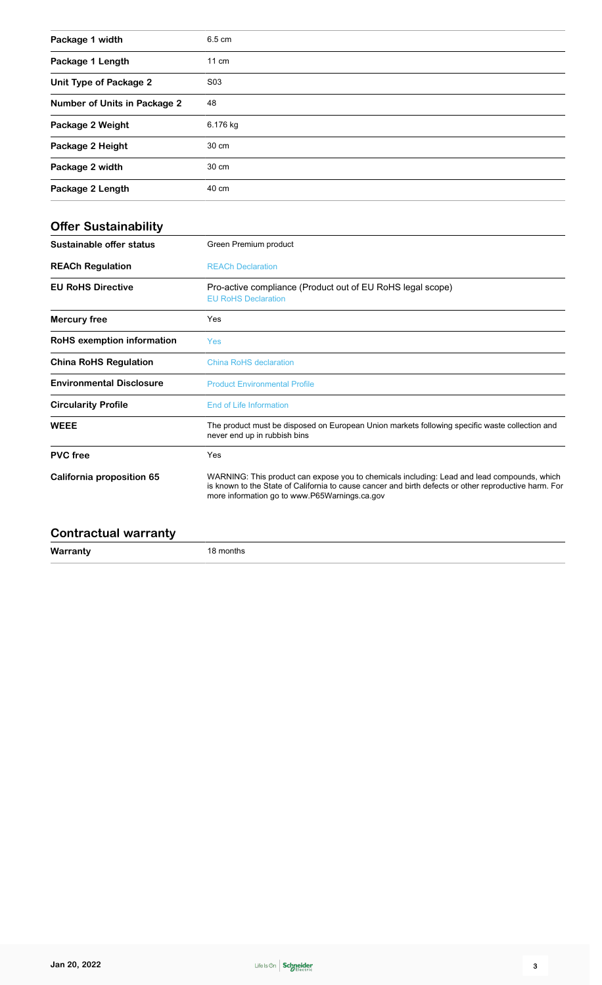| Package 1 width                     | 6.5 cm           |
|-------------------------------------|------------------|
| Package 1 Length                    | $11 \text{ cm}$  |
| <b>Unit Type of Package 2</b>       | S <sub>0</sub> 3 |
| <b>Number of Units in Package 2</b> | 48               |
| Package 2 Weight                    | 6.176 kg         |
| Package 2 Height                    | 30 cm            |
| Package 2 width                     | 30 cm            |
| Package 2 Length                    | 40 cm            |

| <b>Offer Sustainability</b>       |                                                                                                                                                                                                                                                       |  |
|-----------------------------------|-------------------------------------------------------------------------------------------------------------------------------------------------------------------------------------------------------------------------------------------------------|--|
| Sustainable offer status          | Green Premium product                                                                                                                                                                                                                                 |  |
| <b>REACh Regulation</b>           | <b>REACh Declaration</b>                                                                                                                                                                                                                              |  |
| <b>EU RoHS Directive</b>          | Pro-active compliance (Product out of EU RoHS legal scope)<br><b>EU RoHS Declaration</b>                                                                                                                                                              |  |
| <b>Mercury free</b>               | Yes                                                                                                                                                                                                                                                   |  |
| <b>RoHS</b> exemption information | Yes                                                                                                                                                                                                                                                   |  |
| <b>China RoHS Regulation</b>      | China RoHS declaration                                                                                                                                                                                                                                |  |
| <b>Environmental Disclosure</b>   | <b>Product Environmental Profile</b>                                                                                                                                                                                                                  |  |
| <b>Circularity Profile</b>        | End of Life Information                                                                                                                                                                                                                               |  |
| <b>WEEE</b>                       | The product must be disposed on European Union markets following specific waste collection and<br>never end up in rubbish bins                                                                                                                        |  |
| <b>PVC</b> free                   | Yes                                                                                                                                                                                                                                                   |  |
| California proposition 65         | WARNING: This product can expose you to chemicals including: Lead and lead compounds, which<br>is known to the State of California to cause cancer and birth defects or other reproductive harm. For<br>more information go to www.P65Warnings.ca.gov |  |
|                                   |                                                                                                                                                                                                                                                       |  |

| <b>Contractual warranty</b> |  |
|-----------------------------|--|
|-----------------------------|--|

**Warranty** 18 months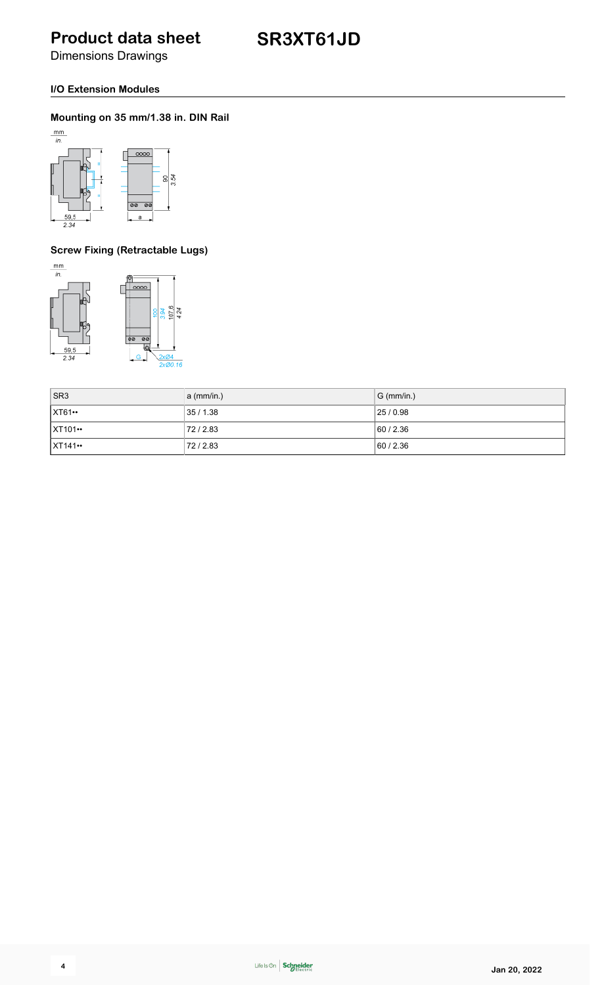Dimensions Drawings

#### **I/O Extension Modules**

#### **Mounting on 35 mm/1.38 in. DIN Rail**



### **Screw Fixing (Retractable Lugs)**





| $ $ SR3               | a (mm/in.) | $ G$ (mm/in.) |
|-----------------------|------------|---------------|
| $\vert$ XT61 $\cdots$ | 35 / 1.38  | 25/0.98       |
| <b>XT101…</b>         | 72/2.83    | 60/2.36       |
| $X$ T141 $\cdot$      | 72/2.83    | 60/2.36       |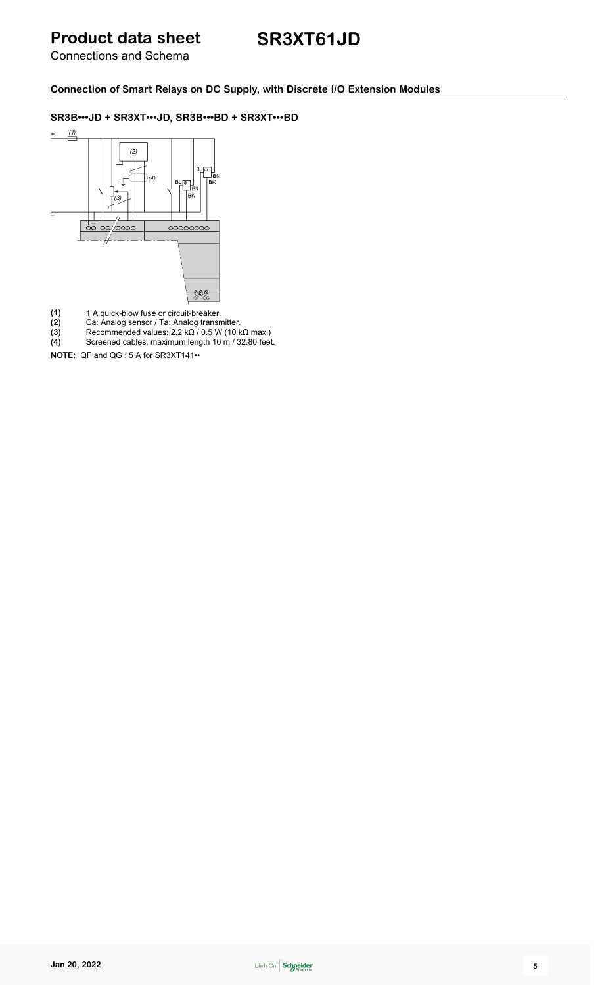### **SR3XT61JD**

Connections and Schema

**Connection of Smart Relays on DC Supply, with Discrete I/O Extension Modules**

#### **SR3B•••JD + SR3XT•••JD, SR3B•••BD + SR3XT•••BD**



- 
- (1) 1 A quick-blow fuse or circuit-breaker.<br>
(2) Ca: Analog sensor / Ta: Analog transn<br>
(3) Recommended values:  $2.2 \text{ k}\Omega$  / 0.5 W **(2)** Ca: Analog sensor / Ta: Analog transmitter.
- **(3)** Recommended values: 2.2 kΩ / 0.5 W (10 kΩ max.)
- **(4)** Screened cables, maximum length 10 m / 32.80 feet.

**NOTE:** QF and QG : 5 A for SR3XT141••